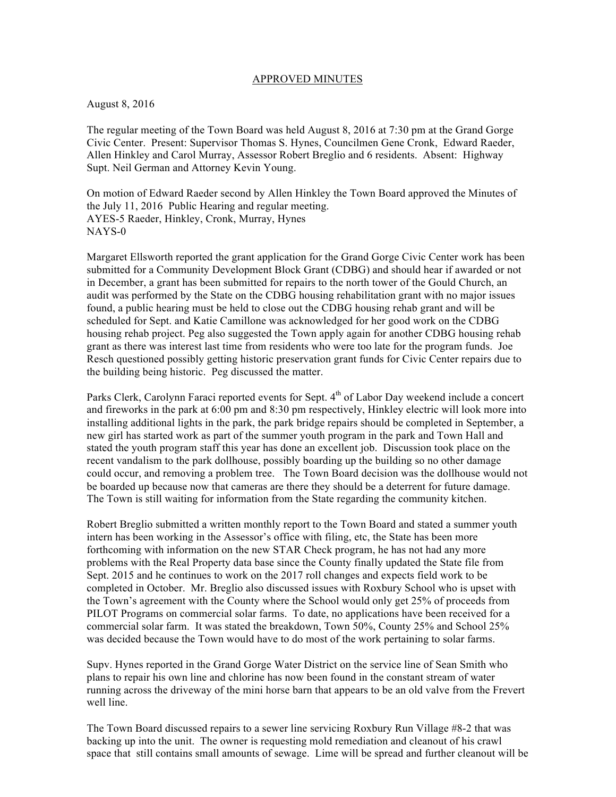### APPROVED MINUTES

#### August 8, 2016

The regular meeting of the Town Board was held August 8, 2016 at 7:30 pm at the Grand Gorge Civic Center. Present: Supervisor Thomas S. Hynes, Councilmen Gene Cronk, Edward Raeder, Allen Hinkley and Carol Murray, Assessor Robert Breglio and 6 residents. Absent: Highway Supt. Neil German and Attorney Kevin Young.

On motion of Edward Raeder second by Allen Hinkley the Town Board approved the Minutes of the July 11, 2016 Public Hearing and regular meeting. AYES-5 Raeder, Hinkley, Cronk, Murray, Hynes NAYS-0

Margaret Ellsworth reported the grant application for the Grand Gorge Civic Center work has been submitted for a Community Development Block Grant (CDBG) and should hear if awarded or not in December, a grant has been submitted for repairs to the north tower of the Gould Church, an audit was performed by the State on the CDBG housing rehabilitation grant with no major issues found, a public hearing must be held to close out the CDBG housing rehab grant and will be scheduled for Sept. and Katie Camillone was acknowledged for her good work on the CDBG housing rehab project. Peg also suggested the Town apply again for another CDBG housing rehab grant as there was interest last time from residents who were too late for the program funds. Joe Resch questioned possibly getting historic preservation grant funds for Civic Center repairs due to the building being historic. Peg discussed the matter.

Parks Clerk, Carolynn Faraci reported events for Sept. 4<sup>th</sup> of Labor Day weekend include a concert and fireworks in the park at 6:00 pm and 8:30 pm respectively, Hinkley electric will look more into installing additional lights in the park, the park bridge repairs should be completed in September, a new girl has started work as part of the summer youth program in the park and Town Hall and stated the youth program staff this year has done an excellent job. Discussion took place on the recent vandalism to the park dollhouse, possibly boarding up the building so no other damage could occur, and removing a problem tree. The Town Board decision was the dollhouse would not be boarded up because now that cameras are there they should be a deterrent for future damage. The Town is still waiting for information from the State regarding the community kitchen.

Robert Breglio submitted a written monthly report to the Town Board and stated a summer youth intern has been working in the Assessor's office with filing, etc, the State has been more forthcoming with information on the new STAR Check program, he has not had any more problems with the Real Property data base since the County finally updated the State file from Sept. 2015 and he continues to work on the 2017 roll changes and expects field work to be completed in October. Mr. Breglio also discussed issues with Roxbury School who is upset with the Town's agreement with the County where the School would only get 25% of proceeds from PILOT Programs on commercial solar farms. To date, no applications have been received for a commercial solar farm. It was stated the breakdown, Town 50%, County 25% and School 25% was decided because the Town would have to do most of the work pertaining to solar farms.

Supv. Hynes reported in the Grand Gorge Water District on the service line of Sean Smith who plans to repair his own line and chlorine has now been found in the constant stream of water running across the driveway of the mini horse barn that appears to be an old valve from the Frevert well line.

The Town Board discussed repairs to a sewer line servicing Roxbury Run Village #8-2 that was backing up into the unit. The owner is requesting mold remediation and cleanout of his crawl space that still contains small amounts of sewage. Lime will be spread and further cleanout will be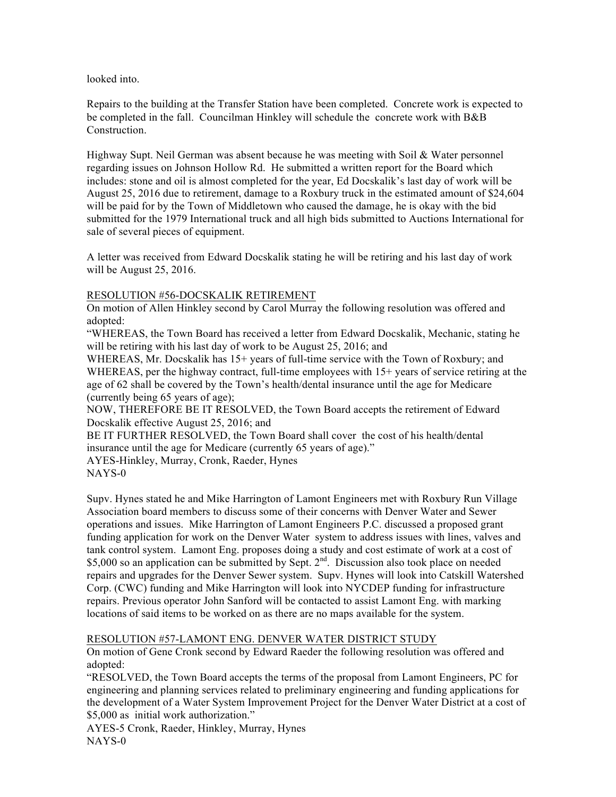looked into.

Repairs to the building at the Transfer Station have been completed. Concrete work is expected to be completed in the fall. Councilman Hinkley will schedule the concrete work with B&B **Construction** 

Highway Supt. Neil German was absent because he was meeting with Soil & Water personnel regarding issues on Johnson Hollow Rd. He submitted a written report for the Board which includes: stone and oil is almost completed for the year, Ed Docskalik's last day of work will be August 25, 2016 due to retirement, damage to a Roxbury truck in the estimated amount of \$24,604 will be paid for by the Town of Middletown who caused the damage, he is okay with the bid submitted for the 1979 International truck and all high bids submitted to Auctions International for sale of several pieces of equipment.

A letter was received from Edward Docskalik stating he will be retiring and his last day of work will be August 25, 2016.

# RESOLUTION #56-DOCSKALIK RETIREMENT

On motion of Allen Hinkley second by Carol Murray the following resolution was offered and adopted:

"WHEREAS, the Town Board has received a letter from Edward Docskalik, Mechanic, stating he will be retiring with his last day of work to be August 25, 2016; and

WHEREAS, Mr. Docskalik has 15+ years of full-time service with the Town of Roxbury; and WHEREAS, per the highway contract, full-time employees with 15+ years of service retiring at the age of 62 shall be covered by the Town's health/dental insurance until the age for Medicare (currently being 65 years of age);

NOW, THEREFORE BE IT RESOLVED, the Town Board accepts the retirement of Edward Docskalik effective August 25, 2016; and

BE IT FURTHER RESOLVED, the Town Board shall cover the cost of his health/dental insurance until the age for Medicare (currently 65 years of age)." AYES-Hinkley, Murray, Cronk, Raeder, Hynes

NAYS-0

Supv. Hynes stated he and Mike Harrington of Lamont Engineers met with Roxbury Run Village Association board members to discuss some of their concerns with Denver Water and Sewer operations and issues. Mike Harrington of Lamont Engineers P.C. discussed a proposed grant funding application for work on the Denver Water system to address issues with lines, valves and tank control system. Lamont Eng. proposes doing a study and cost estimate of work at a cost of \$5,000 so an application can be submitted by Sept.  $2<sup>nd</sup>$ . Discussion also took place on needed repairs and upgrades for the Denver Sewer system. Supv. Hynes will look into Catskill Watershed Corp. (CWC) funding and Mike Harrington will look into NYCDEP funding for infrastructure repairs. Previous operator John Sanford will be contacted to assist Lamont Eng. with marking locations of said items to be worked on as there are no maps available for the system.

# RESOLUTION #57-LAMONT ENG. DENVER WATER DISTRICT STUDY

On motion of Gene Cronk second by Edward Raeder the following resolution was offered and adopted:

"RESOLVED, the Town Board accepts the terms of the proposal from Lamont Engineers, PC for engineering and planning services related to preliminary engineering and funding applications for the development of a Water System Improvement Project for the Denver Water District at a cost of \$5,000 as initial work authorization."

AYES-5 Cronk, Raeder, Hinkley, Murray, Hynes NAYS-0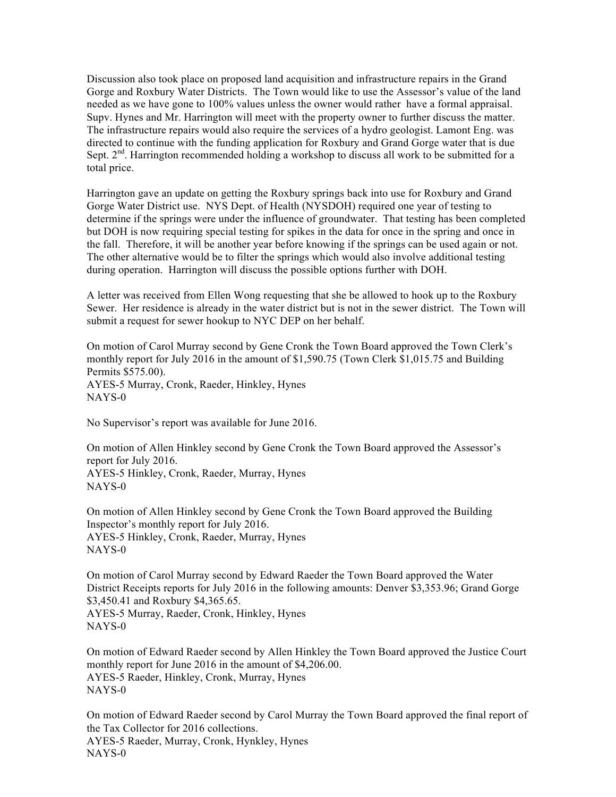Discussion also took place on proposed land acquisition and infrastructure repairs in the Grand Gorge and Roxbury Water Districts. The Town would like to use the Assessor's value of the land needed as we have gone to 100% values unless the owner would rather have a formal appraisal. Supv. Hynes and Mr. Harrington will meet with the property owner to further discuss the matter. The infrastructure repairs would also require the services of a hydro geologist. Lamont Eng. was directed to continue with the funding application for Roxbury and Grand Gorge water that is due Sept.  $2<sup>nd</sup>$ . Harrington recommended holding a workshop to discuss all work to be submitted for a total price.

Harrington gave an update on getting the Roxbury springs back into use for Roxbury and Grand Gorge Water District use. NYS Dept. of Health (NYSDOH) required one year of testing to determine if the springs were under the influence of groundwater. That testing has been completed but DOH is now requiring special testing for spikes in the data for once in the spring and once in the fall. Therefore, it will be another year before knowing if the springs can be used again or not. The other alternative would be to filter the springs which would also involve additional testing during operation. Harrington will discuss the possible options further with DOH.

A letter was received from Ellen Wong requesting that she be allowed to hook up to the Roxbury Sewer. Her residence is already in the water district but is not in the sewer district. The Town will submit a request for sewer hookup to NYC DEP on her behalf.

On motion of Carol Murray second by Gene Cronk the Town Board approved the Town Clerk's monthly report for July 2016 in the amount of \$1,590.75 (Town Clerk \$1,015.75 and Building Permits \$575.00). AYES-5 Murray, Cronk, Raeder, Hinkley, Hynes NAYS-0

No Supervisor's report was available for June 2016.

On motion of Allen Hinkley second by Gene Cronk the Town Board approved the Assessor's report for July 2016. AYES-5 Hinkley, Cronk, Raeder, Murray, Hynes NAYS-0

On motion of Allen Hinkley second by Gene Cronk the Town Board approved the Building Inspector's monthly report for July 2016. AYES-5 Hinkley, Cronk, Raeder, Murray, Hynes NAYS-0

On motion of Carol Murray second by Edward Raeder the Town Board approved the Water District Receipts reports for July 2016 in the following amounts: Denver \$3,353.96; Grand Gorge \$3,450.41 and Roxbury \$4,365.65. AYES-5 Murray, Raeder, Cronk, Hinkley, Hynes NAYS-0

On motion of Edward Raeder second by Allen Hinkley the Town Board approved the Justice Court monthly report for June 2016 in the amount of \$4,206.00. AYES-5 Raeder, Hinkley, Cronk, Murray, Hynes NAYS-0

On motion of Edward Raeder second by Carol Murray the Town Board approved the final report of the Tax Collector for 2016 collections. AYES-5 Raeder, Murray, Cronk, Hynkley, Hynes NAYS-0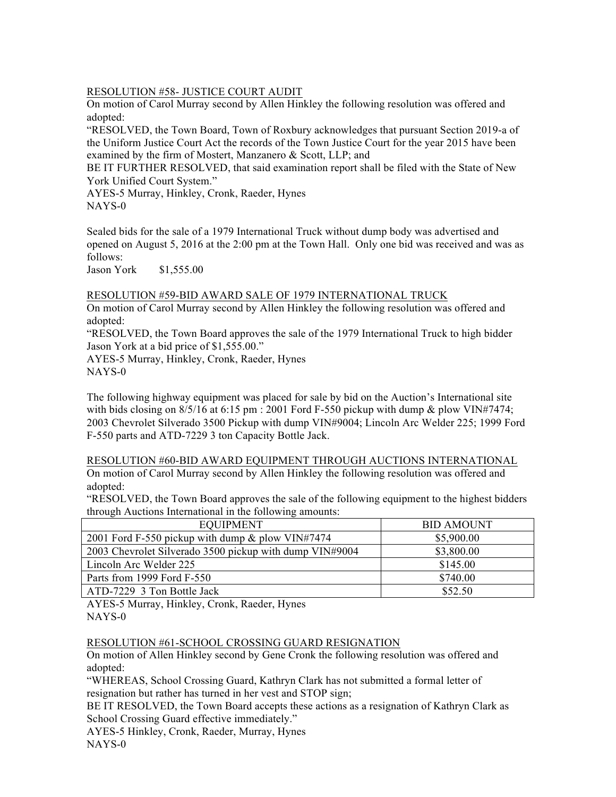# RESOLUTION #58- JUSTICE COURT AUDIT

On motion of Carol Murray second by Allen Hinkley the following resolution was offered and adopted:

"RESOLVED, the Town Board, Town of Roxbury acknowledges that pursuant Section 2019-a of the Uniform Justice Court Act the records of the Town Justice Court for the year 2015 have been examined by the firm of Mostert, Manzanero & Scott, LLP; and

BE IT FURTHER RESOLVED, that said examination report shall be filed with the State of New York Unified Court System."

AYES-5 Murray, Hinkley, Cronk, Raeder, Hynes NAYS-0

Sealed bids for the sale of a 1979 International Truck without dump body was advertised and opened on August 5, 2016 at the 2:00 pm at the Town Hall. Only one bid was received and was as follows:

Jason York \$1,555.00

# RESOLUTION #59-BID AWARD SALE OF 1979 INTERNATIONAL TRUCK

On motion of Carol Murray second by Allen Hinkley the following resolution was offered and adopted:

"RESOLVED, the Town Board approves the sale of the 1979 International Truck to high bidder Jason York at a bid price of \$1,555.00."

AYES-5 Murray, Hinkley, Cronk, Raeder, Hynes

NAYS-0

The following highway equipment was placed for sale by bid on the Auction's International site with bids closing on  $8/5/16$  at 6:15 pm : 2001 Ford F-550 pickup with dump & plow VIN#7474; 2003 Chevrolet Silverado 3500 Pickup with dump VIN#9004; Lincoln Arc Welder 225; 1999 Ford F-550 parts and ATD-7229 3 ton Capacity Bottle Jack.

RESOLUTION #60-BID AWARD EQUIPMENT THROUGH AUCTIONS INTERNATIONAL On motion of Carol Murray second by Allen Hinkley the following resolution was offered and adopted:

"RESOLVED, the Town Board approves the sale of the following equipment to the highest bidders through Auctions International in the following amounts:

| EQUIPMENT                                               | <b>BID AMOUNT</b> |  |
|---------------------------------------------------------|-------------------|--|
| 2001 Ford F-550 pickup with dump & plow VIN#7474        | \$5,900.00        |  |
| 2003 Chevrolet Silverado 3500 pickup with dump VIN#9004 | \$3,800.00        |  |
| Lincoln Arc Welder 225                                  | \$145.00          |  |
| Parts from 1999 Ford F-550                              | \$740.00          |  |
| ATD-7229 3 Ton Bottle Jack                              | \$52.50           |  |

AYES-5 Murray, Hinkley, Cronk, Raeder, Hynes NAYS-0

### RESOLUTION #61-SCHOOL CROSSING GUARD RESIGNATION

On motion of Allen Hinkley second by Gene Cronk the following resolution was offered and adopted:

"WHEREAS, School Crossing Guard, Kathryn Clark has not submitted a formal letter of resignation but rather has turned in her vest and STOP sign;

BE IT RESOLVED, the Town Board accepts these actions as a resignation of Kathryn Clark as School Crossing Guard effective immediately."

AYES-5 Hinkley, Cronk, Raeder, Murray, Hynes NAYS-0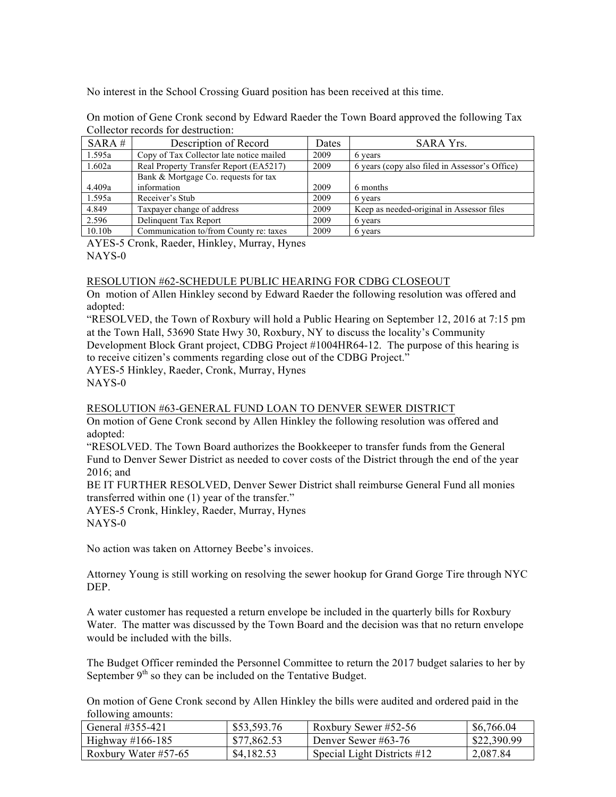No interest in the School Crossing Guard position has been received at this time.

On motion of Gene Cronk second by Edward Raeder the Town Board approved the following Tax Collector records for destruction:

| SARA#  | Description of Record                    | Dates | <b>SARA Yrs.</b>                               |
|--------|------------------------------------------|-------|------------------------------------------------|
| 1.595a | Copy of Tax Collector late notice mailed | 2009  | 6 years                                        |
| 1.602a | Real Property Transfer Report (EA5217)   | 2009  | 6 years (copy also filed in Assessor's Office) |
|        | Bank & Mortgage Co. requests for tax     |       |                                                |
| 4.409a | information                              | 2009  | 6 months                                       |
| 1.595a | Receiver's Stub                          | 2009  | 6 years                                        |
| 4.849  | Taxpayer change of address               | 2009  | Keep as needed-original in Assessor files      |
| 2.596  | Delinquent Tax Report                    | 2009  | 6 years                                        |
| 10.10b | Communication to/from County re: taxes   | 2009  | 6 years                                        |

AYES-5 Cronk, Raeder, Hinkley, Murray, Hynes NAYS-0

### RESOLUTION #62-SCHEDULE PUBLIC HEARING FOR CDBG CLOSEOUT

On motion of Allen Hinkley second by Edward Raeder the following resolution was offered and adopted:

"RESOLVED, the Town of Roxbury will hold a Public Hearing on September 12, 2016 at 7:15 pm at the Town Hall, 53690 State Hwy 30, Roxbury, NY to discuss the locality's Community Development Block Grant project, CDBG Project #1004HR64-12. The purpose of this hearing is to receive citizen's comments regarding close out of the CDBG Project."

AYES-5 Hinkley, Raeder, Cronk, Murray, Hynes NAYS-0

### RESOLUTION #63-GENERAL FUND LOAN TO DENVER SEWER DISTRICT

On motion of Gene Cronk second by Allen Hinkley the following resolution was offered and adopted:

"RESOLVED. The Town Board authorizes the Bookkeeper to transfer funds from the General Fund to Denver Sewer District as needed to cover costs of the District through the end of the year 2016; and

BE IT FURTHER RESOLVED, Denver Sewer District shall reimburse General Fund all monies transferred within one (1) year of the transfer."

AYES-5 Cronk, Hinkley, Raeder, Murray, Hynes NAYS-0

No action was taken on Attorney Beebe's invoices.

Attorney Young is still working on resolving the sewer hookup for Grand Gorge Tire through NYC DEP.

A water customer has requested a return envelope be included in the quarterly bills for Roxbury Water. The matter was discussed by the Town Board and the decision was that no return envelope would be included with the bills.

The Budget Officer reminded the Personnel Committee to return the 2017 budget salaries to her by September  $9<sup>th</sup>$  so they can be included on the Tentative Budget.

On motion of Gene Cronk second by Allen Hinkley the bills were audited and ordered paid in the following amounts:

| General #355-421      | \$53,593.76 | Roxbury Sewer #52-56          | \$6,766.04  |
|-----------------------|-------------|-------------------------------|-------------|
| Highway $\#166 - 185$ | \$77.862.53 | Denver Sewer #63-76           | \$22,390.99 |
| Roxbury Water #57-65  | \$4,182.53  | Special Light Districts $#12$ | 2,087.84    |